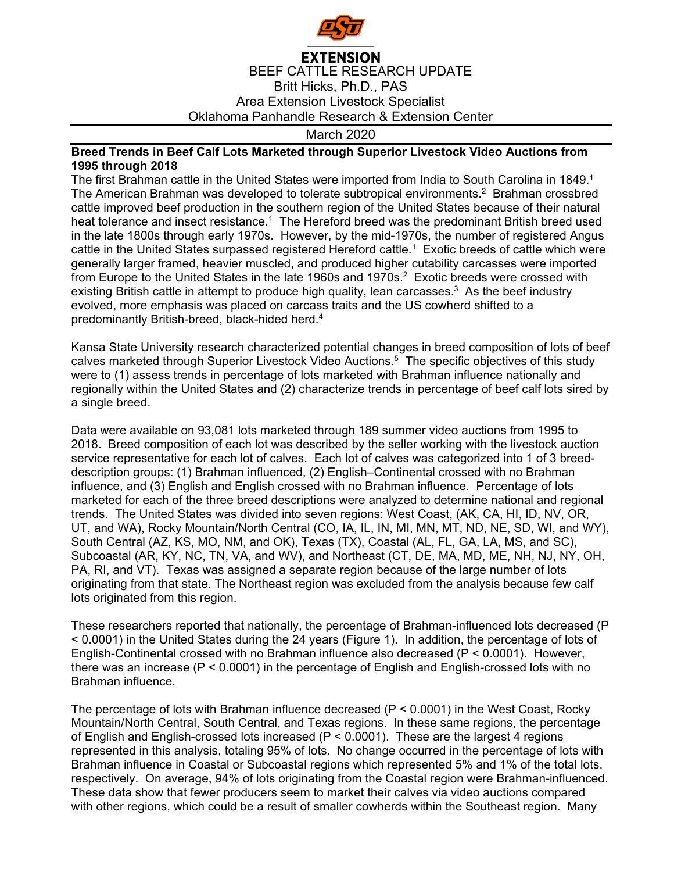

## **EXTENSION** BEEF CATTLE RESEARCH UPDATE Britt Hicks, Ph.D., PAS Area Extension Livestock Specialist Oklahoma Panhandle Research & Extension Center

## March 2020

## **Breed Trends in Beef Calf Lots Marketed through Superior Livestock Video Auctions from 1995 through 2018**

The first Brahman cattle in the United States were imported from India to South Carolina in 1849.<sup>1</sup> The American Brahman was developed to tolerate subtropical environments.<sup>2</sup> Brahman crossbred cattle improved beef production in the southern region of the United States because of their natural heat tolerance and insect resistance.<sup>1</sup> The Hereford breed was the predominant British breed used in the late 1800s through early 1970s. However, by the mid-1970s, the number of registered Angus cattle in the United States surpassed registered Hereford cattle.<sup>1</sup> Exotic breeds of cattle which were generally larger framed, heavier muscled, and produced higher cutability carcasses were imported from Europe to the United States in the late 1960s and 1970s.<sup>2</sup> Exotic breeds were crossed with existing British cattle in attempt to produce high quality, lean carcasses.<sup>3</sup> As the beef industry evolved, more emphasis was placed on carcass traits and the US cowherd shifted to a predominantly British-breed, black-hided herd.4

Kansa State University research characterized potential changes in breed composition of lots of beef calves marketed through Superior Livestock Video Auctions.<sup>5</sup> The specific objectives of this study were to (1) assess trends in percentage of lots marketed with Brahman influence nationally and regionally within the United States and (2) characterize trends in percentage of beef calf lots sired by a single breed.

Data were available on 93,081 lots marketed through 189 summer video auctions from 1995 to 2018. Breed composition of each lot was described by the seller working with the livestock auction service representative for each lot of calves. Each lot of calves was categorized into 1 of 3 breeddescription groups: (1) Brahman influenced, (2) English–Continental crossed with no Brahman influence, and (3) English and English crossed with no Brahman influence. Percentage of lots marketed for each of the three breed descriptions were analyzed to determine national and regional trends. The United States was divided into seven regions: West Coast, (AK, CA, HI, ID, NV, OR, UT, and WA), Rocky Mountain/North Central (CO, IA, IL, IN, MI, MN, MT, ND, NE, SD, WI, and WY), South Central (AZ, KS, MO, NM, and OK), Texas (TX), Coastal (AL, FL, GA, LA, MS, and SC), Subcoastal (AR, KY, NC, TN, VA, and WV), and Northeast (CT, DE, MA, MD, ME, NH, NJ, NY, OH, PA, RI, and VT). Texas was assigned a separate region because of the large number of lots originating from that state. The Northeast region was excluded from the analysis because few calf lots originated from this region.

These researchers reported that nationally, the percentage of Brahman-influenced lots decreased (P < 0.0001) in the United States during the 24 years (Figure 1). In addition, the percentage of lots of English-Continental crossed with no Brahman influence also decreased (P < 0.0001). However, there was an increase (P < 0.0001) in the percentage of English and English-crossed lots with no Brahman influence.

The percentage of lots with Brahman influence decreased (P < 0.0001) in the West Coast, Rocky Mountain/North Central, South Central, and Texas regions. In these same regions, the percentage of English and English-crossed lots increased (P < 0.0001). These are the largest 4 regions represented in this analysis, totaling 95% of lots. No change occurred in the percentage of lots with Brahman influence in Coastal or Subcoastal regions which represented 5% and 1% of the total lots, respectively. On average, 94% of lots originating from the Coastal region were Brahman-influenced. These data show that fewer producers seem to market their calves via video auctions compared with other regions, which could be a result of smaller cowherds within the Southeast region. Many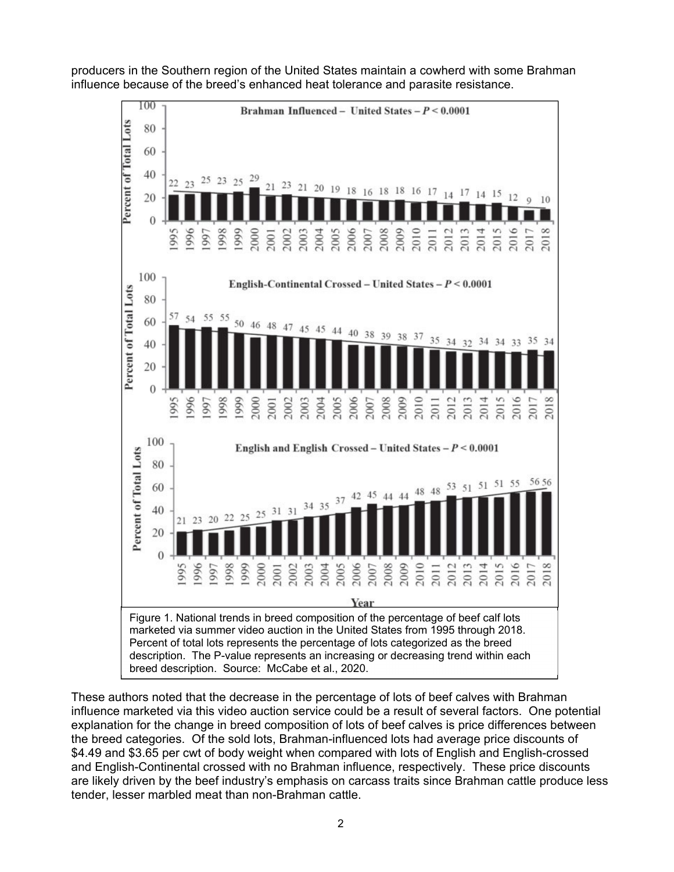

producers in the Southern region of the United States maintain a cowherd with some Brahman influence because of the breed's enhanced heat tolerance and parasite resistance.

These authors noted that the decrease in the percentage of lots of beef calves with Brahman influence marketed via this video auction service could be a result of several factors. One potential explanation for the change in breed composition of lots of beef calves is price differences between the breed categories. Of the sold lots, Brahman-influenced lots had average price discounts of \$4.49 and \$3.65 per cwt of body weight when compared with lots of English and English-crossed and English-Continental crossed with no Brahman influence, respectively. These price discounts are likely driven by the beef industry's emphasis on carcass traits since Brahman cattle produce less tender, lesser marbled meat than non-Brahman cattle.